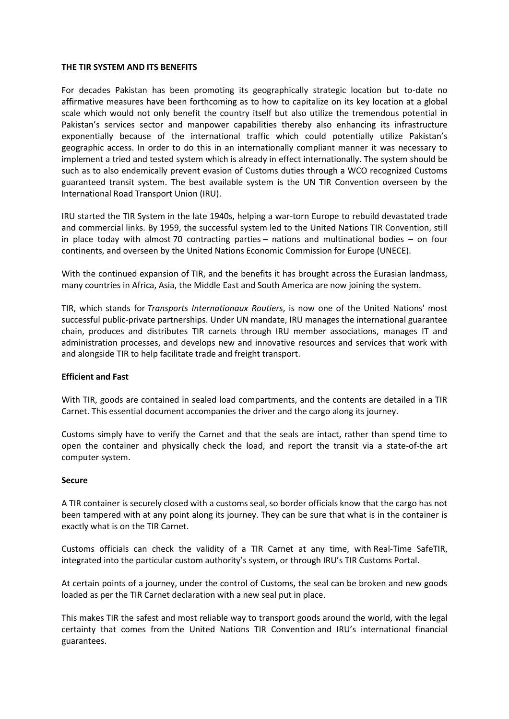### **THE TIR SYSTEM AND ITS BENEFITS**

For decades Pakistan has been promoting its geographically strategic location but to-date no affirmative measures have been forthcoming as to how to capitalize on its key location at a global scale which would not only benefit the country itself but also utilize the tremendous potential in Pakistan's services sector and manpower capabilities thereby also enhancing its infrastructure exponentially because of the international traffic which could potentially utilize Pakistan's geographic access. In order to do this in an internationally compliant manner it was necessary to implement a tried and tested system which is already in effect internationally. The system should be such as to also endemically prevent evasion of Customs duties through a WCO recognized Customs guaranteed transit system. The best available system is the UN TIR Convention overseen by the International Road Transport Union (IRU).

IRU started the TIR System in the late 1940s, helping a war-torn Europe to rebuild devastated trade and commercial links. By 1959, the successful system led to the United Nations TIR Convention, still in place today with almost 70 [contracting](https://www.unece.org/tir/system/countries.html) parties – nations and multinational bodies – on four continents, and overseen by the United Nations Economic Commission for Europe (UNECE).

With the continued expansion of [TIR,](https://www.iru.org/what-we-do/services/tir) and the benefits it has brought across the Eurasian landmass, many countries in Africa, Asia, the Middle East and South America are now joining the system.

TIR, which stands for *Transports Internationaux Routiers*, is now one of the United Nations' most successful public-private partnerships. Under UN mandate, IRU manages the international guarantee chain, produces and distributes TIR carnets through IRU member associations, manages IT and administration processes, and develops new and innovative resources and services that work with and alongside TIR to help facilitate trade and freight transport.

## **Efficient and Fast**

With TIR, goods are contained in sealed load compartments, and the contents are detailed in a TIR Carnet. This essential document accompanies the driver and the cargo along its journey.

Customs simply have to verify the Carnet and that the seals are intact, rather than spend time to open the container and physically check the load, and report the transit via a state-of-the art computer system.

### **Secure**

A TIR container is securely closed with a customs seal, so border officials know that the cargo has not been tampered with at any point along its journey. They can be sure that what is in the container is exactly what is on the TIR Carnet.

Customs officials can check the validity of a TIR Carnet at any time, with [Real-Time](https://www.iru.org/sites/default/files/2016-02/en-real-time-safe-promotion.pdf) SafeTIR, integrated into the particular custom authority's system, or through IRU's TIR Customs Portal.

At certain points of a journey, under the control of Customs, the seal can be broken and new goods loaded as per the TIR Carnet declaration with a new seal put in place.

This makes TIR the safest and most reliable way to transport goods around the world, with the legal certainty that comes from the United Nations TIR [Convention](http://www.unece.org/fileadmin/DAM/tir/handbook/english/newtirhand/TIR-6Rev9EN_Convention.pdf) and IRU's international financial guarantees.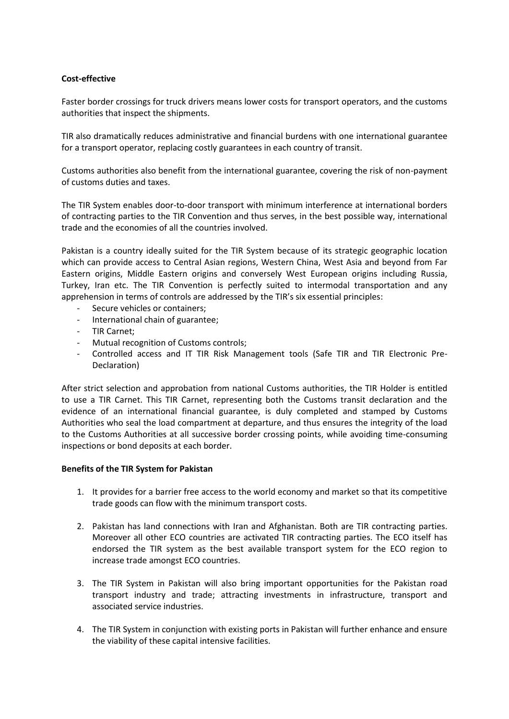# **Cost-effective**

Faster border crossings for truck drivers means lower costs for transport operators, and the customs authorities that inspect the shipments.

[TIR](https://www.iru.org/what-we-do/services/tir) also dramatically reduces administrative and financial burdens with one international guarantee for a transport operator, replacing costly guarantees in each country of transit.

Customs authorities also benefit from the international guarantee, covering the risk of non-payment of customs duties and taxes.

The TIR System enables door-to-door transport with minimum interference at international borders of contracting parties to the TIR Convention and thus serves, in the best possible way, international trade and the economies of all the countries involved.

Pakistan is a country ideally suited for the TIR System because of its strategic geographic location which can provide access to Central Asian regions, Western China, West Asia and beyond from Far Eastern origins, Middle Eastern origins and conversely West European origins including Russia, Turkey, Iran etc. The TIR Convention is perfectly suited to intermodal transportation and any apprehension in terms of controls are addressed by the TIR's six essential principles:

- Secure vehicles or containers;
- International chain of guarantee;
- TIR Carnet;
- Mutual recognition of Customs controls;
- Controlled access and IT TIR Risk Management tools (Safe TIR and TIR Electronic Pre-Declaration)

After strict selection and approbation from national Customs authorities, the TIR Holder is entitled to use a TIR Carnet. This TIR Carnet, representing both the Customs transit declaration and the evidence of an international financial guarantee, is duly completed and stamped by Customs Authorities who seal the load compartment at departure, and thus ensures the integrity of the load to the Customs Authorities at all successive border crossing points, while avoiding time-consuming inspections or bond deposits at each border.

## **Benefits of the TIR System for Pakistan**

- 1. It provides for a barrier free access to the world economy and market so that its competitive trade goods can flow with the minimum transport costs.
- 2. Pakistan has land connections with Iran and Afghanistan. Both are TIR contracting parties. Moreover all other ECO countries are activated TIR contracting parties. The ECO itself has endorsed the TIR system as the best available transport system for the ECO region to increase trade amongst ECO countries.
- 3. The TIR System in Pakistan will also bring important opportunities for the Pakistan road transport industry and trade; attracting investments in infrastructure, transport and associated service industries.
- 4. The TIR System in conjunction with existing ports in Pakistan will further enhance and ensure the viability of these capital intensive facilities.